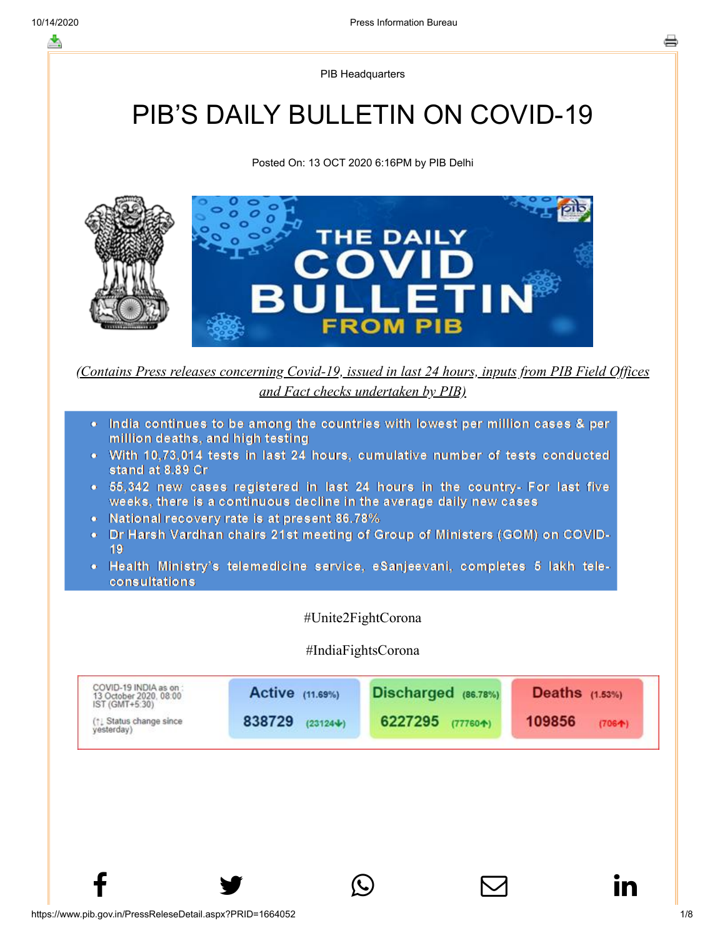PIB Headquarters

# PIB'S DAILY BULLETIN ON COVID-19

Posted On: 13 OCT 2020 6:16PM by PIB Delhi



*(Contains Press releases concerning Covid-19, issued in last 24 hours, inputs from PIB Field Offices and Fact checks undertaken by PIB)*

- India continues to be among the countries with lowest per million cases & per million deaths, and high testing
- With 10,73,014 tests in last 24 hours, cumulative number of tests conducted stand at 8.89 Cr
- . 55,342 new cases registered in last 24 hours in the country- For last five weeks, there is a continuous decline in the average daily new cases
- National recovery rate is at present 86.78%
- Dr Harsh Vardhan chairs 21st meeting of Group of Ministers (GOM) on COVID-19
- Health Ministry's telemedicine service, eSanjeevani, completes 5 lakh teleconsultations

#Unite2FightCorona

## #IndiaFightsCorona

 $f$  y  $\circledcirc$   $\quad \circ$  in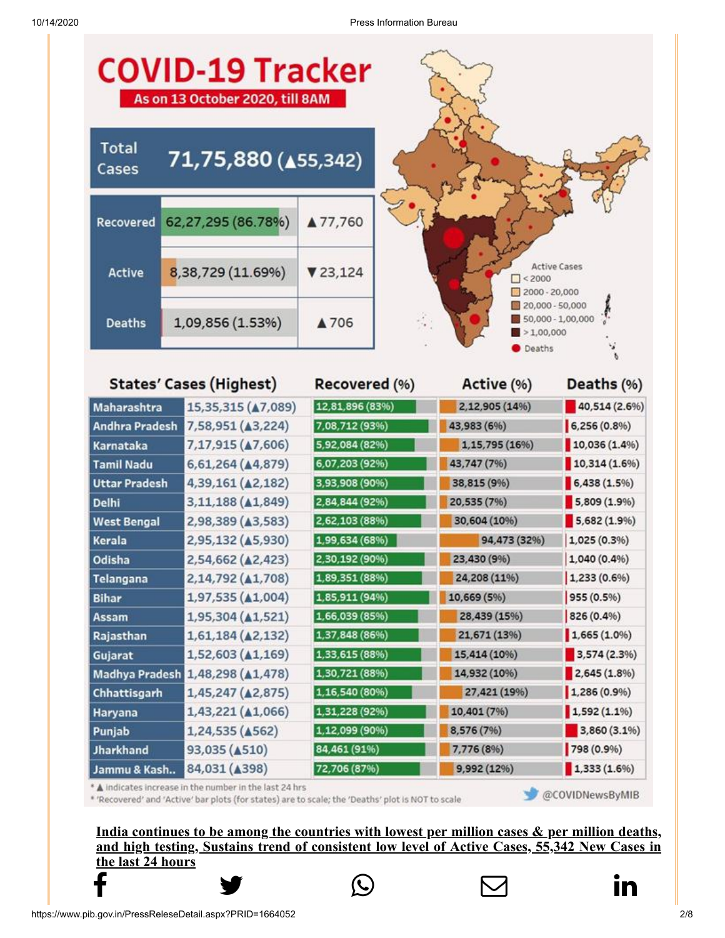| <b>COVID-19 Tracker</b><br>As on 13 October 2020, till 8AM |                                                                                                                                                             |                                  |                                                                   |                              |
|------------------------------------------------------------|-------------------------------------------------------------------------------------------------------------------------------------------------------------|----------------------------------|-------------------------------------------------------------------|------------------------------|
| <b>Total</b><br>Cases                                      | 71,75,880 (455,342)                                                                                                                                         |                                  |                                                                   |                              |
| Recovered                                                  | 62,27,295 (86.78%)                                                                                                                                          | ▲ 77,760                         |                                                                   |                              |
| Active                                                     | 8,38,729 (11.69%)                                                                                                                                           | ₹23,124                          | $\Box$ < 2000<br>$2000 - 20,000$                                  | <b>Active Cases</b>          |
| <b>Deaths</b>                                              | 1,09,856 (1.53%)                                                                                                                                            | ÷.<br>▲706                       | 20,000 - 50,000<br>50,000 - 1,00,000<br>$\geq 1,00,000$<br>Deaths |                              |
|                                                            | <b>States' Cases (Highest)</b>                                                                                                                              | Recovered (%)                    | Active (%)                                                        | Deaths (%)                   |
| Maharashtra                                                | 15,35,315 ( $\triangle$ 7,089)                                                                                                                              | 12,81,896 (83%)                  | 2,12,905 (14%)                                                    | 40,514 (2.6%)                |
| <b>Andhra Pradesh</b>                                      | 7,58,951 (A3,224)                                                                                                                                           | 7,08,712 (93%)                   | 43,983 (6%)                                                       | $6,256(0.8\%)$               |
| Karnataka                                                  | 7,17,915 ( $\triangle$ 7,606)                                                                                                                               | 5,92,084 (82%)                   | 1,15,795 (16%)                                                    | 10,036(1.4%                  |
| <b>Tamil Nadu</b>                                          | 6,61,264 (44,879)                                                                                                                                           | 6,07,203 (92%)                   | 43,747 (7%)                                                       | 10,314(1.6%                  |
| <b>Uttar Pradesh</b>                                       | 4,39,161 (42,182)                                                                                                                                           | 3,93,908 (90%)                   | 38,815 (9%)                                                       | 6,438(1.5%)                  |
| <b>Delhi</b>                                               | 3,11,188 ( $\triangle$ 1,849)                                                                                                                               | 2,84,844 (92%)                   | 20,535 (7%)                                                       | 5,809 (1.9%)                 |
| <b>West Bengal</b>                                         | 2,98,389 (43,583)                                                                                                                                           | 2,62,103 (88%)                   | 30,604 (10%)                                                      | 5,682 (1.9%)                 |
| Kerala                                                     | 2,95,132 (A5,930)                                                                                                                                           | 1,99,634 (68%)                   | 94,473 (32%)                                                      | 1,025 (0.3%)                 |
| Odisha                                                     | 2,54,662 (42,423)<br>2,14,792 ( $\triangle$ 1,708)                                                                                                          | 2,30,192 (90%)<br>1,89,351 (88%) | 23,430 (9%)<br>24,208 (11%)                                       | 1,040 (0.4%)<br>1,233 (0.6%) |
| Telangana<br><b>Bihar</b>                                  | 1,97,535 ( $\triangle$ 1,004)                                                                                                                               | 1,85,911 (94%)                   | 10,669 (5%)                                                       | 955 (0.5%)                   |
| Assam                                                      | 1,95,304 ( $\triangle$ 1,521)                                                                                                                               | 1,66,039 (85%)                   | 28,439 (15%)                                                      | 826 (0.4%)                   |
| Rajasthan                                                  | $1,61,184$ ( $\triangle 2,132$ )                                                                                                                            | 1,37,848 (86%)                   | 21,671 (13%)                                                      | 1,665(1.0%                   |
| Gujarat                                                    | $1,52,603$ ( $\triangle 1,169$ )                                                                                                                            | 1,33,615 (88%)                   | 15,414 (10%)                                                      | 3,574 (2.3%)                 |
|                                                            | Madhya Pradesh 1,48,298 (A1,478)                                                                                                                            | 1,30,721 (88%)                   | 14,932 (10%)                                                      | 2,645(1.8%)                  |
| Chhattisgarh                                               | 1,45,247 ( $\triangle$ 2,875)                                                                                                                               | 1,16,540 (80%)                   | 27,421 (19%)                                                      | 1,286(0.9%                   |
| Haryana                                                    | 1,43,221 ( $\triangle$ 1,066)                                                                                                                               | 1,31,228 (92%)                   | 10,401 (7%)                                                       | $1,592(1.1\%)$               |
| Punjab                                                     | 1,24,535 ( $\triangle$ 562)                                                                                                                                 | 1,12,099 (90%)                   | 8,576 (7%)                                                        | 3,860 (3.1%)                 |
| <b>Jharkhand</b>                                           | 93,035 ( $\triangle$ 510)                                                                                                                                   | 84,461 (91%)                     | 7,776 (8%)                                                        | 798 (0.9%)                   |
| Jammu & Kash                                               | 84,031 ( $\triangle$ 398)                                                                                                                                   | 72,706 (87%)                     | 9,992 (12%)                                                       | 1,333(1.6%)                  |
|                                                            | * A indicates increase in the number in the last 24 hrs<br>"Decovered" and "Active" har plots (for states) are to scale: the "Deaths" plot is NOT to scale" |                                  |                                                                   | @COVIDNewsByMIB              |

\* 'Recovered' and 'Active' bar plots (for states) are to scale; the 'Deaths' plot is NOT to scale

**India continues to be among the countries with lowest per million cases & per million deaths, and high testing, Sustains trend of consistent low level of Active Cases, 55,342 New Cases in [the last 24 h](http://www.facebook.com/share.php?u=https://pib.gov.in/PressReleasePage.aspx?PRID=1664052)ours**



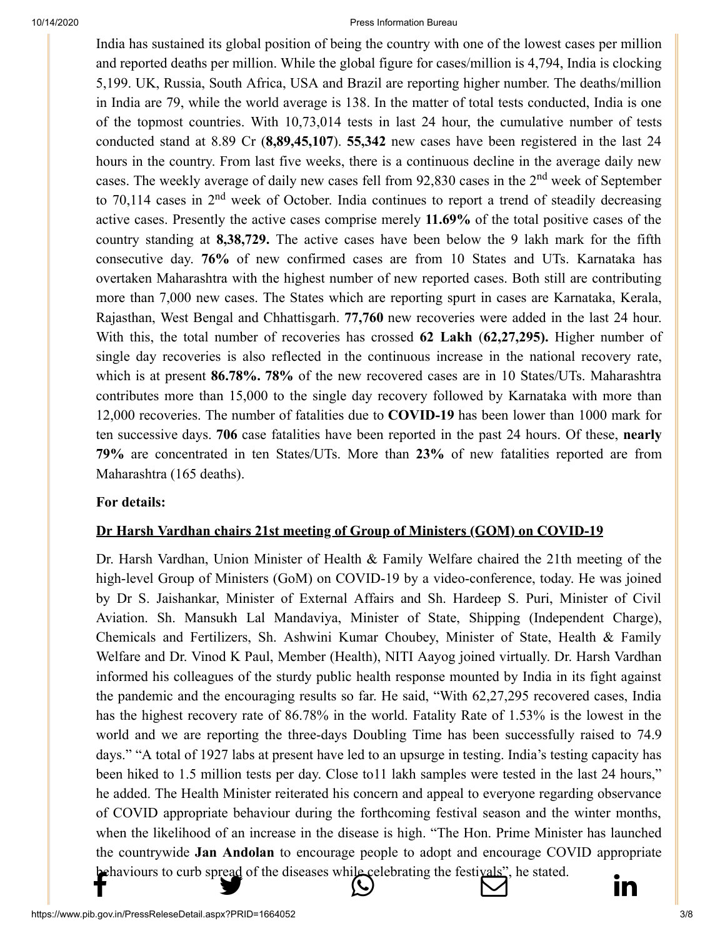[India has su](http://www.facebook.com/share.php?u=https://pib.gov.in/PressReleasePage.aspx?PRID=1664052)[stained its global positio](https://twitter.com/intent/tweet?url=https://pib.gov.in/PressReleasePage.aspx?PRID=1664052&text=PIB%E2%80%99S%20DAILY%20BULLETIN%20ON%20COVID-19)n of [being the country](https://api.whatsapp.com/send?text=https://pib.gov.in/PressReleasePage.aspx?PRID=1664052) [with one of the lowest](https://mail.google.com/mail/?view=cm&fs=1&tf=1&to=&su=PIB%E2%80%99S%20DAILY%20BULLETIN%20ON%20COVID-19&body=https://pib.gov.in/PressReleasePage.aspx?PRID=1664052&ui=2&tf=1&pli=1) [cases per million](https://www.linkedin.com/shareArticle?mini=true&url=https://pib.gov.in/PressReleasePage.aspx?PRID=1664052&title=PIB%E2%80%99S%20DAILY%20BULLETIN%20ON%20COVID-19&summary=My%20favorite%20developer%20program&source=LinkedIn) and reported deaths per million. While the global figure for cases/million is 4,794, India is clocking 5,199. UK, Russia, South Africa, USA and Brazil are reporting higher number. The deaths/million in India are 79, while the world average is 138. In the matter of total tests conducted, India is one of the topmost countries. With 10,73,014 tests in last 24 hour, the cumulative number of tests conducted stand at 8.89 Cr (**8,89,45,107**). **55,342** new cases have been registered in the last 24 hours in the country. From last five weeks, there is a continuous decline in the average daily new cases. The weekly average of daily new cases fell from 92,830 cases in the 2<sup>nd</sup> week of September to 70,114 cases in  $2<sup>nd</sup>$  week of October. India continues to report a trend of steadily decreasing active cases. Presently the active cases comprise merely **11.69%** of the total positive cases of the country standing at **8,38,729.** The active cases have been below the 9 lakh mark for the fifth consecutive day. **76%** of new confirmed cases are from 10 States and UTs. Karnataka has overtaken Maharashtra with the highest number of new reported cases. Both still are contributing more than 7,000 new cases. The States which are reporting spurt in cases are Karnataka, Kerala, Rajasthan, West Bengal and Chhattisgarh. **77,760** new recoveries were added in the last 24 hour. With this, the total number of recoveries has crossed **62 Lakh** (**62,27,295).** Higher number of single day recoveries is also reflected in the continuous increase in the national recovery rate, which is at present **86.78%. 78%** of the new recovered cases are in 10 States/UTs. Maharashtra contributes more than 15,000 to the single day recovery followed by Karnataka with more than 12,000 recoveries. The number of fatalities due to **COVID-19** has been lower than 1000 mark for ten successive days. **706** case fatalities have been reported in the past 24 hours. Of these, **nearly 79%** are concentrated in ten States/UTs. More than **23%** of new fatalities reported are from Maharashtra (165 deaths).

#### **[For details:](https://pib.gov.in/PressReleseDetail.aspx?PRID=1663941)**

## **Dr Harsh Vardhan chairs 21st meeting of Group of Ministers (GOM) on COVID-19**

Dr. Harsh Vardhan, Union Minister of Health & Family Welfare chaired the 21th meeting of the high-level Group of Ministers (GoM) on COVID-19 by a video-conference, today. He was joined by Dr S. Jaishankar, Minister of External Affairs and Sh. Hardeep S. Puri, Minister of Civil Aviation. Sh. Mansukh Lal Mandaviya, Minister of State, Shipping (Independent Charge), Chemicals and Fertilizers, Sh. Ashwini Kumar Choubey, Minister of State, Health & Family Welfare and Dr. Vinod K Paul, Member (Health), NITI Aayog joined virtually. Dr. Harsh Vardhan informed his colleagues of the sturdy public health response mounted by India in its fight against the pandemic and the encouraging results so far. He said, "With 62,27,295 recovered cases, India has the highest recovery rate of 86.78% in the world. Fatality Rate of 1.53% is the lowest in the world and we are reporting the three-days Doubling Time has been successfully raised to 74.9 days." "A total of 1927 labs at present have led to an upsurge in testing. India's testing capacity has been hiked to 1.5 million tests per day. Close to 11 lakh samples were tested in the last 24 hours," he added. The Health Minister reiterated his concern and appeal to everyone regarding observance of COVID appropriate behaviour during the forthcoming festival season and the winter months, when the likelihood of an increase in the disease is high. "The Hon. Prime Minister has launched the countrywide **Jan Andolan** to encourage people to adopt and encourage COVID appropriate [behaviours t](http://www.facebook.com/share.php?u=https://pib.gov.in/PressReleasePage.aspx?PRID=1664052)[o curb spread of the dis](https://twitter.com/intent/tweet?url=https://pib.gov.in/PressReleasePage.aspx?PRID=1664052&text=PIB%E2%80%99S%20DAILY%20BULLETIN%20ON%20COVID-19)[eases while celebrating](https://api.whatsapp.com/send?text=https://pib.gov.in/PressReleasePage.aspx?PRID=1664052) [the festivals", he stated](https://mail.google.com/mail/?view=cm&fs=1&tf=1&to=&su=PIB%E2%80%99S%20DAILY%20BULLETIN%20ON%20COVID-19&body=https://pib.gov.in/PressReleasePage.aspx?PRID=1664052&ui=2&tf=1&pli=1).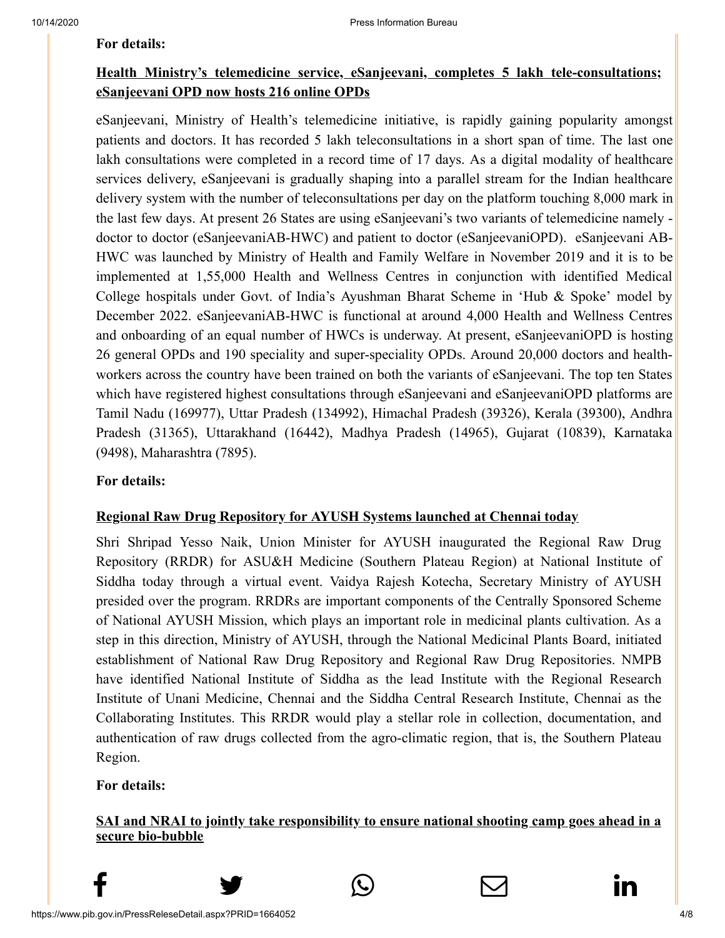#### **[For details:](https://pib.gov.in/PressReleseDetail.aspx?PRID=1663968)**

## **Health Ministry's telemedicine service, eSanjeevani, completes 5 lakh tele-consultations; eSanjeevani OPD now hosts 216 online OPDs**

eSanjeevani, Ministry of Health's telemedicine initiative, is rapidly gaining popularity amongst patients and doctors. It has recorded 5 lakh teleconsultations in a short span of time. The last one lakh consultations were completed in a record time of 17 days. As a digital modality of healthcare services delivery, eSanjeevani is gradually shaping into a parallel stream for the Indian healthcare delivery system with the number of teleconsultations per day on the platform touching 8,000 mark in the last few days. At present 26 States are using eSanjeevani's two variants of telemedicine namely doctor to doctor (eSanjeevaniAB-HWC) and patient to doctor (eSanjeevaniOPD). eSanjeevani AB-HWC was launched by Ministry of Health and Family Welfare in November 2019 and it is to be implemented at 1,55,000 Health and Wellness Centres in conjunction with identified Medical College hospitals under Govt. of India's Ayushman Bharat Scheme in 'Hub & Spoke' model by December 2022. eSanjeevaniAB-HWC is functional at around 4,000 Health and Wellness Centres and onboarding of an equal number of HWCs is underway. At present, eSanjeevaniOPD is hosting 26 general OPDs and 190 speciality and super-speciality OPDs. Around 20,000 doctors and healthworkers across the country have been trained on both the variants of eSanjeevani. The top ten States which have registered highest consultations through eSanjeevani and eSanjeevaniOPD platforms are Tamil Nadu (169977), Uttar Pradesh (134992), Himachal Pradesh (39326), Kerala (39300), Andhra Pradesh (31365), Uttarakhand (16442), Madhya Pradesh (14965), Gujarat (10839), Karnataka (9498), Maharashtra (7895).

## **[For details:](https://pib.gov.in/PressReleseDetail.aspx?PRID=1663795)**

## **Regional Raw Drug Repository for AYUSH Systems launched at Chennai today**

Shri Shripad Yesso Naik, Union Minister for AYUSH inaugurated the Regional Raw Drug Repository (RRDR) for ASU&H Medicine (Southern Plateau Region) at National Institute of Siddha today through a virtual event. Vaidya Rajesh Kotecha, Secretary Ministry of AYUSH presided over the program. RRDRs are important components of the Centrally Sponsored Scheme of National AYUSH Mission, which plays an important role in medicinal plants cultivation. As a step in this direction, Ministry of AYUSH, through the National Medicinal Plants Board, initiated establishment of National Raw Drug Repository and Regional Raw Drug Repositories. NMPB have identified National Institute of Siddha as the lead Institute with the Regional Research Institute of Unani Medicine, Chennai and the Siddha Central Research Institute, Chennai as the Collaborating Institutes. This RRDR would play a stellar role in collection, documentation, and authentication of raw drugs collected from the agro-climatic region, that is, the Southern Plateau Region.

**[For details:](https://pib.gov.in/PressReleseDetail.aspx?PRID=1663989)**

## **SAI and NRAI to jointly take responsibility to ensure national shooting camp goes ahead in a secure bio-bubble**

 $f$  y  $\circledcirc$   $\quad \circ$  in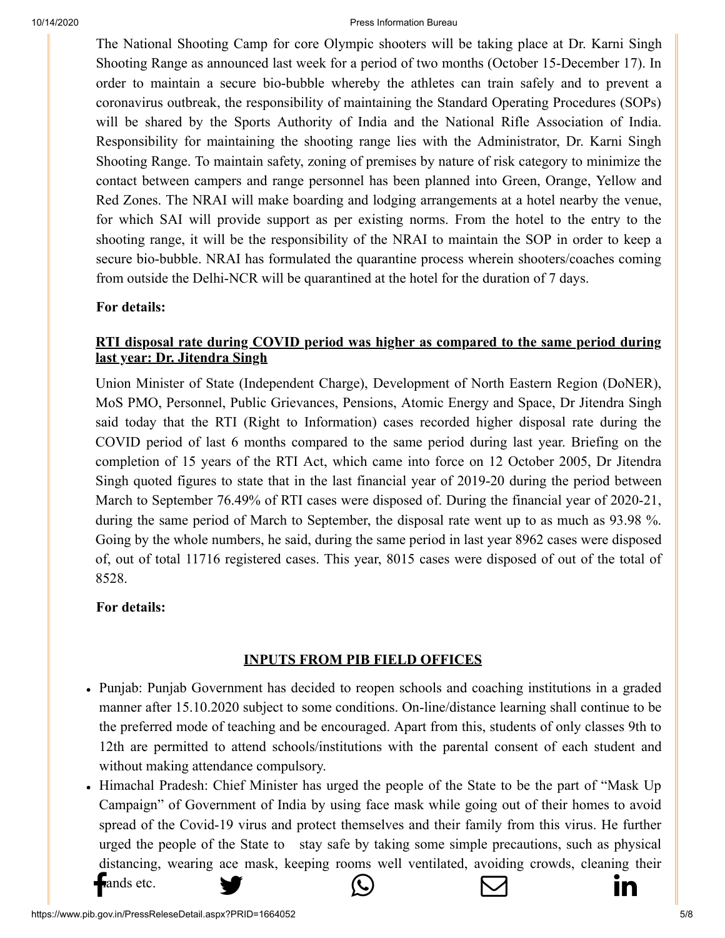[The Nationa](http://www.facebook.com/share.php?u=https://pib.gov.in/PressReleasePage.aspx?PRID=1664052)[l Shooting Camp for](https://twitter.com/intent/tweet?url=https://pib.gov.in/PressReleasePage.aspx?PRID=1664052&text=PIB%E2%80%99S%20DAILY%20BULLETIN%20ON%20COVID-19) [core Olympic shooters](https://api.whatsapp.com/send?text=https://pib.gov.in/PressReleasePage.aspx?PRID=1664052) [will be taking place a](https://mail.google.com/mail/?view=cm&fs=1&tf=1&to=&su=PIB%E2%80%99S%20DAILY%20BULLETIN%20ON%20COVID-19&body=https://pib.gov.in/PressReleasePage.aspx?PRID=1664052&ui=2&tf=1&pli=1)[t Dr. Karni Singh](https://www.linkedin.com/shareArticle?mini=true&url=https://pib.gov.in/PressReleasePage.aspx?PRID=1664052&title=PIB%E2%80%99S%20DAILY%20BULLETIN%20ON%20COVID-19&summary=My%20favorite%20developer%20program&source=LinkedIn) Shooting Range as announced last week for a period of two months (October 15-December 17). In order to maintain a secure bio-bubble whereby the athletes can train safely and to prevent a coronavirus outbreak, the responsibility of maintaining the Standard Operating Procedures (SOPs) will be shared by the Sports Authority of India and the National Rifle Association of India. Responsibility for maintaining the shooting range lies with the Administrator, Dr. Karni Singh Shooting Range. To maintain safety, zoning of premises by nature of risk category to minimize the contact between campers and range personnel has been planned into Green, Orange, Yellow and Red Zones. The NRAI will make boarding and lodging arrangements at a hotel nearby the venue, for which SAI will provide support as per existing norms. From the hotel to the entry to the shooting range, it will be the responsibility of the NRAI to maintain the SOP in order to keep a secure bio-bubble. NRAI has formulated the quarantine process wherein shooters/coaches coming from outside the Delhi-NCR will be quarantined at the hotel for the duration of 7 days.

## **[For details:](https://pib.gov.in/PressReleseDetail.aspx?PRID=1663951)**

## **RTI disposal rate during COVID period was higher as compared to the same period during last year: Dr. Jitendra Singh**

Union Minister of State (Independent Charge), Development of North Eastern Region (DoNER), MoS PMO, Personnel, Public Grievances, Pensions, Atomic Energy and Space, Dr Jitendra Singh said today that the RTI (Right to Information) cases recorded higher disposal rate during the COVID period of last 6 months compared to the same period during last year. Briefing on the completion of 15 years of the RTI Act, which came into force on 12 October 2005, Dr Jitendra Singh quoted figures to state that in the last financial year of 2019-20 during the period between March to September 76.49% of RTI cases were disposed of. During the financial year of 2020-21, during the same period of March to September, the disposal rate went up to as much as 93.98 %. Going by the whole numbers, he said, during the same period in last year 8962 cases were disposed of, out of total 11716 registered cases. This year, 8015 cases were disposed of out of the total of 8528.

#### **[For details:](https://pib.gov.in/PressReleseDetail.aspx?PRID=1664041)**

## **INPUTS FROM PIB FIELD OFFICES**

- Punjab: Punjab Government has decided to reopen schools and coaching institutions in a graded manner after 15.10.2020 subject to some conditions. On-line/distance learning shall continue to be the preferred mode of teaching and be encouraged. Apart from this, students of only classes 9th to 12th are permitted to attend schools/institutions with the parental consent of each student and without making attendance compulsory.
- Himachal Pradesh: Chief Minister has urged the people of the State to be the part of "Mask Up Campaign" of Government of India by using face mask while going out of their homes to avoid spread of the Covid-19 virus and protect themselves and their family from this virus. He further urged the people of the State to stay safe by taking some simple precautions, such as physical distancing, [wearing ace mask, ke](https://twitter.com/intent/tweet?url=https://pib.gov.in/PressReleasePage.aspx?PRID=1664052&text=PIB%E2%80%99S%20DAILY%20BULLETIN%20ON%20COVID-19)[eping rooms well ven](https://api.whatsapp.com/send?text=https://pib.gov.in/PressReleasePage.aspx?PRID=1664052)[tilated, avoiding crow](https://mail.google.com/mail/?view=cm&fs=1&tf=1&to=&su=PIB%E2%80%99S%20DAILY%20BULLETIN%20ON%20COVID-19&body=https://pib.gov.in/PressReleasePage.aspx?PRID=1664052&ui=2&tf=1&pli=1)[ds, cleaning their](https://www.linkedin.com/shareArticle?mini=true&url=https://pib.gov.in/PressReleasePage.aspx?PRID=1664052&title=PIB%E2%80%99S%20DAILY%20BULLETIN%20ON%20COVID-19&summary=My%20favorite%20developer%20program&source=LinkedIn)  $f$ ands etc.  $\bullet$   $\bullet$   $\bullet$   $\bullet$   $\bullet$   $\bullet$  in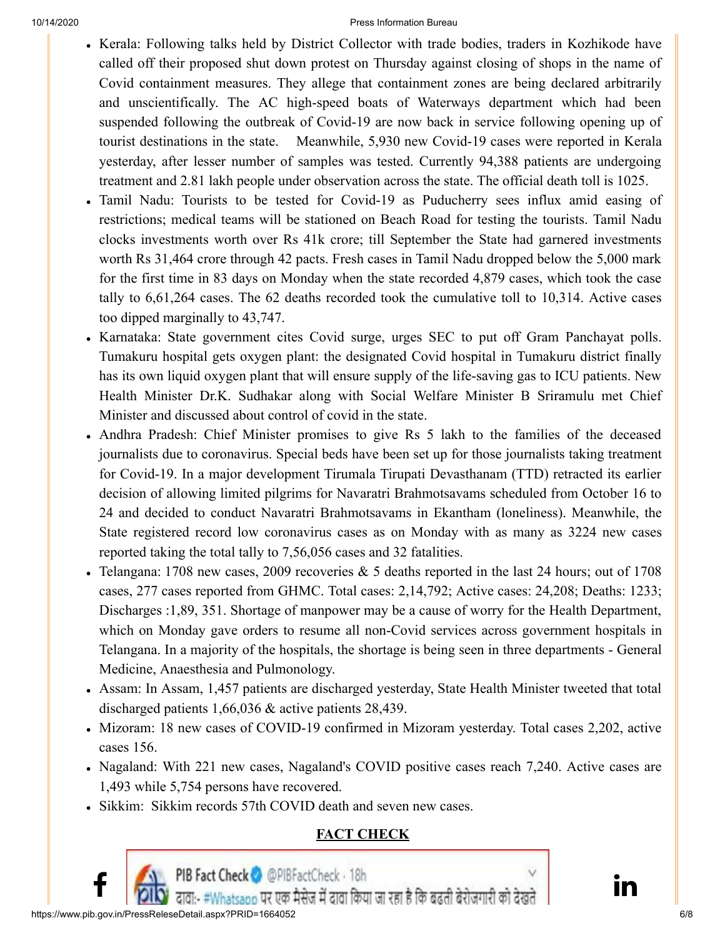- [Kerala: Fol](http://www.facebook.com/share.php?u=https://pib.gov.in/PressReleasePage.aspx?PRID=1664052)[lowing talks held by D](https://twitter.com/intent/tweet?url=https://pib.gov.in/PressReleasePage.aspx?PRID=1664052&text=PIB%E2%80%99S%20DAILY%20BULLETIN%20ON%20COVID-19)[istrict Collector with](https://api.whatsapp.com/send?text=https://pib.gov.in/PressReleasePage.aspx?PRID=1664052) [trade bodies, traders in](https://mail.google.com/mail/?view=cm&fs=1&tf=1&to=&su=PIB%E2%80%99S%20DAILY%20BULLETIN%20ON%20COVID-19&body=https://pib.gov.in/PressReleasePage.aspx?PRID=1664052&ui=2&tf=1&pli=1) [Kozhikode have](https://www.linkedin.com/shareArticle?mini=true&url=https://pib.gov.in/PressReleasePage.aspx?PRID=1664052&title=PIB%E2%80%99S%20DAILY%20BULLETIN%20ON%20COVID-19&summary=My%20favorite%20developer%20program&source=LinkedIn) called off their proposed shut down protest on Thursday against closing of shops in the name of Covid containment measures. They allege that containment zones are being declared arbitrarily and unscientifically. The AC high-speed boats of Waterways department which had been suspended following the outbreak of Covid-19 are now back in service following opening up of tourist destinations in the state. Meanwhile, 5,930 new Covid-19 cases were reported in Kerala yesterday, after lesser number of samples was tested. Currently 94,388 patients are undergoing treatment and 2.81 lakh people under observation across the state. The official death toll is 1025.
- Tamil Nadu: Tourists to be tested for Covid-19 as Puducherry sees influx amid easing of restrictions; medical teams will be stationed on Beach Road for testing the tourists. Tamil Nadu clocks investments worth over Rs 41k crore; till September the State had garnered investments worth Rs 31,464 crore through 42 pacts. Fresh cases in Tamil Nadu dropped below the 5,000 mark for the first time in 83 days on Monday when the state recorded 4,879 cases, which took the case tally to 6,61,264 cases. The 62 deaths recorded took the cumulative toll to 10,314. Active cases too dipped marginally to 43,747.
- Karnataka: State government cites Covid surge, urges SEC to put off Gram Panchayat polls. Tumakuru hospital gets oxygen plant: the designated Covid hospital in Tumakuru district finally has its own liquid oxygen plant that will ensure supply of the life-saving gas to ICU patients. New Health Minister Dr.K. Sudhakar along with Social Welfare Minister B Sriramulu met Chief Minister and discussed about control of covid in the state.
- Andhra Pradesh: Chief Minister promises to give Rs 5 lakh to the families of the deceased journalists due to coronavirus. Special beds have been set up for those journalists taking treatment for Covid-19. In a major development Tirumala Tirupati Devasthanam (TTD) retracted its earlier decision of allowing limited pilgrims for Navaratri Brahmotsavams scheduled from October 16 to 24 and decided to conduct Navaratri Brahmotsavams in Ekantham (loneliness). Meanwhile, the State registered record low coronavirus cases as on Monday with as many as 3224 new cases reported taking the total tally to 7,56,056 cases and 32 fatalities.
- Telangana: 1708 new cases, 2009 recoveries  $& 5$  deaths reported in the last 24 hours; out of 1708 cases, 277 cases reported from GHMC. Total cases: 2,14,792; Active cases: 24,208; Deaths: 1233; Discharges :1,89, 351. Shortage of manpower may be a cause of worry for the Health Department, which on Monday gave orders to resume all non-Covid services across government hospitals in Telangana. In a majority of the hospitals, the shortage is being seen in three departments - General Medicine, Anaesthesia and Pulmonology.
- Assam: In Assam, 1,457 patients are discharged yesterday, State Health Minister tweeted that total discharged patients 1,66,036 & active patients 28,439.
- Mizoram: 18 new cases of COVID-19 confirmed in Mizoram yesterday. Total cases 2,202, active cases 156.
- Nagaland: With 221 new cases, Nagaland's COVID positive cases reach 7,240. Active cases are 1,493 while 5,754 persons have recovered.
- Sikkim: Sikkim records 57th COVID death and seven new cases.

# **FACT CHECK**

**PIB Fact Check ©** @PIBFactCheck · 18h<br>दावा:- #Whatsapp पर एक मैसेज में दावा किया जा रहा है कि बढती बेरोजगारी को देखते **and the state** 

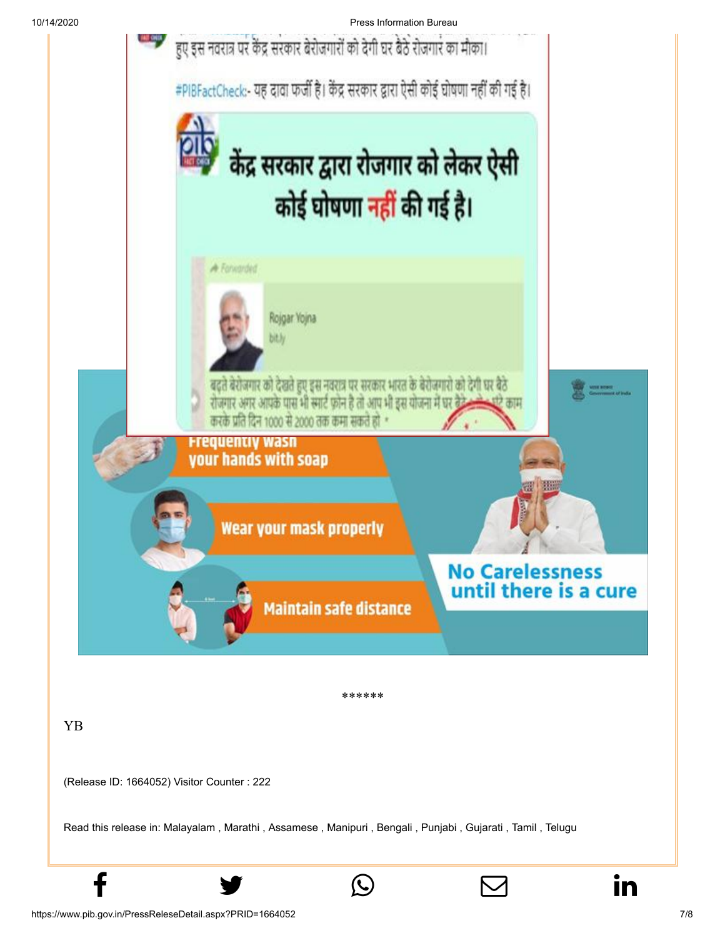